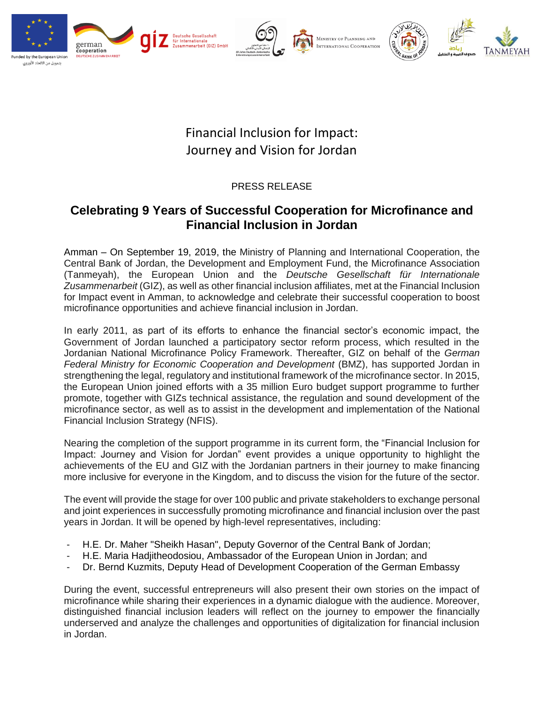

## Financial Inclusion for Impact: Journey and Vision for Jordan

## PRESS RELEASE

## **Celebrating 9 Years of Successful Cooperation for Microfinance and Financial Inclusion in Jordan**

Amman – On September 19, 2019, the Ministry of Planning and International Cooperation, the Central Bank of Jordan, the Development and Employment Fund, the Microfinance Association (Tanmeyah), the European Union and the *Deutsche Gesellschaft für Internationale Zusammenarbeit* (GIZ), as well as other financial inclusion affiliates, met at the Financial Inclusion for Impact event in Amman, to acknowledge and celebrate their successful cooperation to boost microfinance opportunities and achieve financial inclusion in Jordan.

In early 2011, as part of its efforts to enhance the financial sector's economic impact, the Government of Jordan launched a participatory sector reform process, which resulted in the Jordanian National Microfinance Policy Framework. Thereafter, GIZ on behalf of the *German Federal Ministry for Economic Cooperation and Development* (BMZ), has supported Jordan in strengthening the legal, regulatory and institutional framework of the microfinance sector. In 2015, the European Union joined efforts with a 35 million Euro budget support programme to further promote, together with GIZs technical assistance, the regulation and sound development of the microfinance sector, as well as to assist in the development and implementation of the National Financial Inclusion Strategy (NFIS).

Nearing the completion of the support programme in its current form, the "Financial Inclusion for Impact: Journey and Vision for Jordan" event provides a unique opportunity to highlight the achievements of the EU and GIZ with the Jordanian partners in their journey to make financing more inclusive for everyone in the Kingdom, and to discuss the vision for the future of the sector.

The event will provide the stage for over 100 public and private stakeholders to exchange personal and joint experiences in successfully promoting microfinance and financial inclusion over the past years in Jordan. It will be opened by high-level representatives, including:

- H.E. Dr. Maher "Sheikh Hasan", Deputy Governor of the Central Bank of Jordan;
- H.E. Maria Hadjitheodosiou, Ambassador of the European Union in Jordan; and
- Dr. Bernd Kuzmits, Deputy Head of Development Cooperation of the German Embassy

During the event, successful entrepreneurs will also present their own stories on the impact of microfinance while sharing their experiences in a dynamic dialogue with the audience. Moreover, distinguished financial inclusion leaders will reflect on the journey to empower the financially underserved and analyze the challenges and opportunities of digitalization for financial inclusion in Jordan.